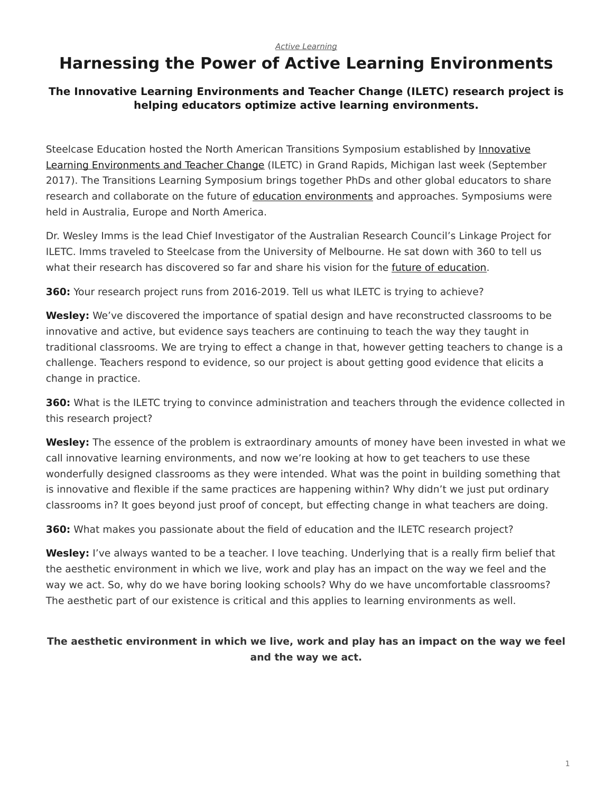#### *[Active Learning](https://www.steelcase.com/research/topics/active-learning/)*

# <span id="page-0-0"></span>**Harnessing the Power of Active Learning Environments**

#### **The Innovative Learning Environments and Teacher Change (ILETC) research project is helping educators optimize active learning environments.**

Steelcase Education hosted the North American Transitions Symposium established by [Innovative](http://www.iletc.com.au/) [Learning Environments and Teacher Change](http://www.iletc.com.au/) (ILETC) in Grand Rapids, Michigan last week (September 2017). The Transitions Learning Symposium brings together PhDs and other global educators to share research and collaborate on the future of [education environments](https://www.steelcase.com/discover/information/education/) and approaches. Symposiums were held in Australia, Europe and North America.

Dr. Wesley Imms is the lead Chief Investigator of the Australian Research Council's Linkage Project for ILETC. Imms traveled to Steelcase from the University of Melbourne. He sat down with 360 to tell us what their research has discovered so far and share his vision for the [future of education](https://www.steelcase.com/research/articles/how-technology-is-changing-education/).

**360:** Your research project runs from 2016-2019. Tell us what ILETC is trying to achieve?

**Wesley:** We've discovered the importance of spatial design and have reconstructed classrooms to be innovative and active, but evidence says teachers are continuing to teach the way they taught in traditional classrooms. We are trying to effect a change in that, however getting teachers to change is a challenge. Teachers respond to evidence, so our project is about getting good evidence that elicits a change in practice.

**360:** What is the ILETC trying to convince administration and teachers through the evidence collected in this research project?

**Wesley:** The essence of the problem is extraordinary amounts of money have been invested in what we call innovative learning environments, and now we're looking at how to get teachers to use these wonderfully designed classrooms as they were intended. What was the point in building something that is innovative and flexible if the same practices are happening within? Why didn't we just put ordinary classrooms in? It goes beyond just proof of concept, but effecting change in what teachers are doing.

**360:** What makes you passionate about the field of education and the ILETC research project?

**Wesley:** I've always wanted to be a teacher. I love teaching. Underlying that is a really firm belief that the aesthetic environment in which we live, work and play has an impact on the way we feel and the way we act. So, why do we have boring looking schools? Why do we have uncomfortable classrooms? The aesthetic part of our existence is critical and this applies to learning environments as well.

### **The aesthetic environment in which we live, work and play has an impact on the way we feel and the way we act.**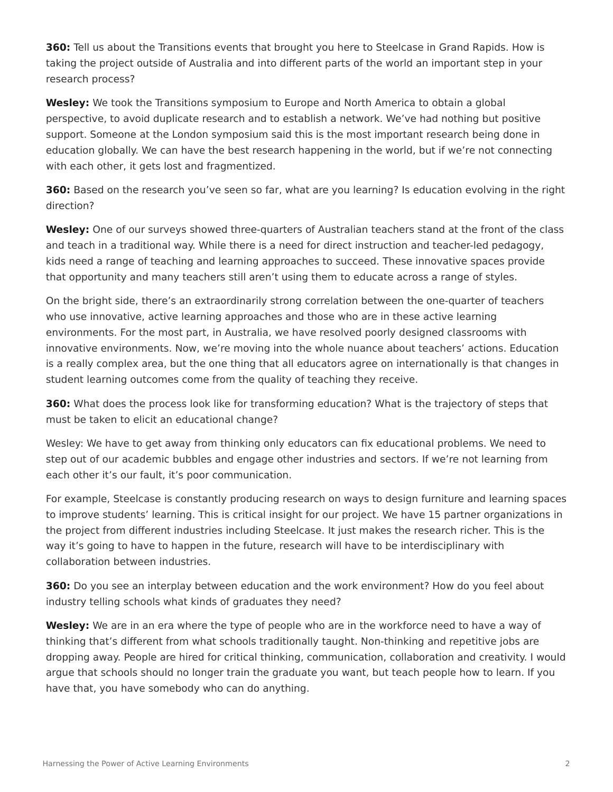**360:** Tell us about the Transitions events that brought you here to Steelcase in Grand Rapids. How is taking the project outside of Australia and into different parts of the world an important step in your research process?

**Wesley:** We took the Transitions symposium to Europe and North America to obtain a global perspective, to avoid duplicate research and to establish a network. We've had nothing but positive support. Someone at the London symposium said this is the most important research being done in education globally. We can have the best research happening in the world, but if we're not connecting with each other, it gets lost and fragmentized.

**360:** Based on the research you've seen so far, what are you learning? Is education evolving in the right direction?

**Wesley:** One of our surveys showed three-quarters of Australian teachers stand at the front of the class and teach in a traditional way. While there is a need for direct instruction and teacher-led pedagogy, kids need a range of teaching and learning approaches to succeed. These innovative spaces provide that opportunity and many teachers still aren't using them to educate across a range of styles.

On the bright side, there's an extraordinarily strong correlation between the one-quarter of teachers who use innovative, active learning approaches and those who are in these active learning environments. For the most part, in Australia, we have resolved poorly designed classrooms with innovative environments. Now, we're moving into the whole nuance about teachers' actions. Education is a really complex area, but the one thing that all educators agree on internationally is that changes in student learning outcomes come from the quality of teaching they receive.

**360:** What does the process look like for transforming education? What is the trajectory of steps that must be taken to elicit an educational change?

Wesley: We have to get away from thinking only educators can fix educational problems. We need to step out of our academic bubbles and engage other industries and sectors. If we're not learning from each other it's our fault, it's poor communication.

For example, Steelcase is constantly producing research on ways to design furniture and learning spaces to improve students' learning. This is critical insight for our project. We have 15 partner organizations in the project from different industries including Steelcase. It just makes the research richer. This is the way it's going to have to happen in the future, research will have to be interdisciplinary with collaboration between industries.

**360:** Do you see an interplay between education and the work environment? How do you feel about industry telling schools what kinds of graduates they need?

**Wesley:** We are in an era where the type of people who are in the workforce need to have a way of thinking that's different from what schools traditionally taught. Non-thinking and repetitive jobs are dropping away. People are hired for critical thinking, communication, collaboration and creativity. I would argue that schools should no longer train the graduate you want, but teach people how to learn. If you have that, you have somebody who can do anything.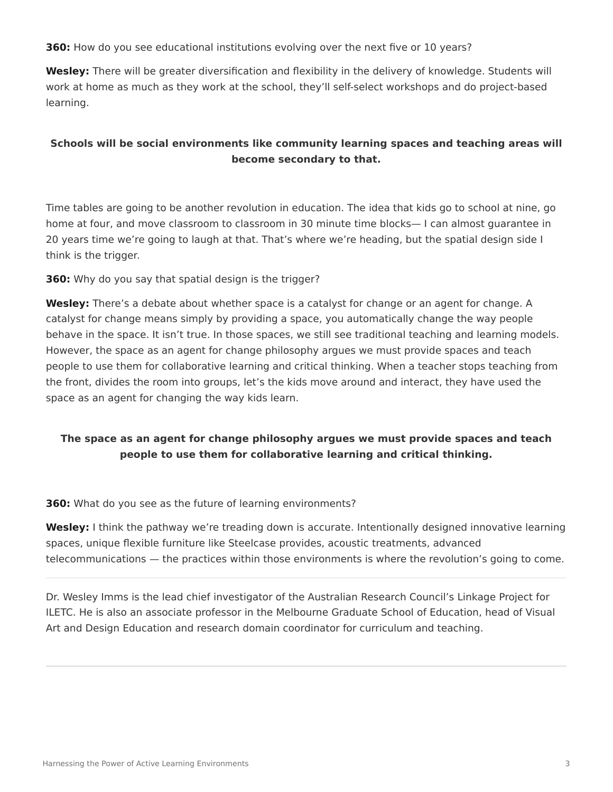**360:** How do you see educational institutions evolving over the next five or 10 years?

**Wesley:** There will be greater diversification and flexibility in the delivery of knowledge. Students will work at home as much as they work at the school, they'll self-select workshops and do project-based learning.

## **Schools will be social environments like community learning spaces and teaching areas will become secondary to that.**

Time tables are going to be another revolution in education. The idea that kids go to school at nine, go home at four, and move classroom to classroom in 30 minute time blocks— I can almost guarantee in 20 years time we're going to laugh at that. That's where we're heading, but the spatial design side I think is the trigger.

**360:** Why do you say that spatial design is the trigger?

**Wesley:** There's a debate about whether space is a catalyst for change or an agent for change. A catalyst for change means simply by providing a space, you automatically change the way people behave in the space. It isn't true. In those spaces, we still see traditional teaching and learning models. However, the space as an agent for change philosophy argues we must provide spaces and teach people to use them for collaborative learning and critical thinking. When a teacher stops teaching from the front, divides the room into groups, let's the kids move around and interact, they have used the space as an agent for changing the way kids learn.

### **The space as an agent for change philosophy argues we must provide spaces and teach people to use them for collaborative learning and critical thinking.**

**360:** What do you see as the future of learning environments?

**Wesley:** I think the pathway we're treading down is accurate. Intentionally designed innovative learning spaces, unique flexible furniture like Steelcase provides, acoustic treatments, advanced telecommunications — the practices within those environments is where the revolution's going to come.

Dr. Wesley Imms is the lead chief investigator of the Australian Research Council's Linkage Project for ILETC. He is also an associate professor in the Melbourne Graduate School of Education, head of Visual Art and Design Education and research domain coordinator for curriculum and teaching.